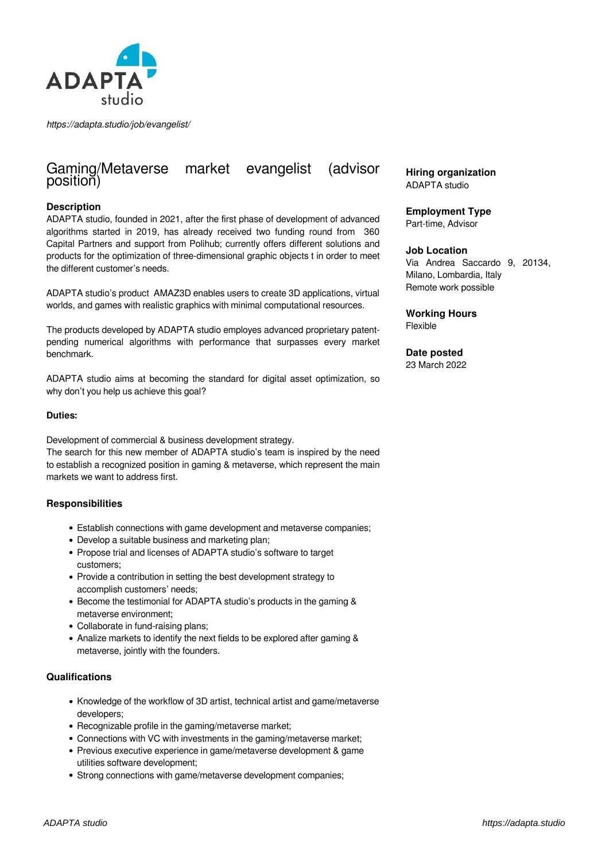

*https://adapta.studio/job/evangelist/*

# Gaming/Metaverse market evangelist (advisor position)

## **Description**

ADAPTA studio, founded in 2021, after the first phase of development of advanced algorithms started in 2019, has already received two funding round from 360 Capital Partners and support from Polihub; currently offers different solutions and products for the optimization of three-dimensional graphic objects t in order to meet the different customer's needs.

ADAPTA studio's product AMAZ3D enables users to create 3D applications, virtual worlds, and games with realistic graphics with minimal computational resources.

The products developed by ADAPTA studio employes advanced proprietary patentpending numerical algorithms with performance that surpasses every market benchmark.

ADAPTA studio aims at becoming the standard for digital asset optimization, so why don't you help us achieve this goal?

#### **Duties:**

Development of commercial & business development strategy. The search for this new member of ADAPTA studio's team is inspired by the need to establish a recognized position in gaming & metaverse, which represent the main markets we want to address first.

#### **Responsibilities**

- Establish connections with game development and metaverse companies;
- Develop a suitable business and marketing plan;
- Propose trial and licenses of ADAPTA studio's software to target customers;
- Provide a contribution in setting the best development strategy to accomplish customers' needs;
- Become the testimonial for ADAPTA studio's products in the gaming & metaverse environment;
- Collaborate in fund-raising plans;
- Analize markets to identify the next fields to be explored after gaming & metaverse, jointly with the founders.

#### **Qualifications**

- Knowledge of the workflow of 3D artist, technical artist and game/metaverse developers;
- Recognizable profile in the gaming/metaverse market:
- Connections with VC with investments in the gaming/metaverse market;
- Previous executive experience in game/metaverse development & game utilities software development;
- Strong connections with game/metaverse development companies:

## **Hiring organization** ADAPTA studio

## **Employment Type**

Part-time, Advisor

## **Job Location**

Via Andrea Saccardo 9, 20134, Milano, Lombardia, Italy Remote work possible

#### **Working Hours** Flexible

**Date posted** 23 March 2022